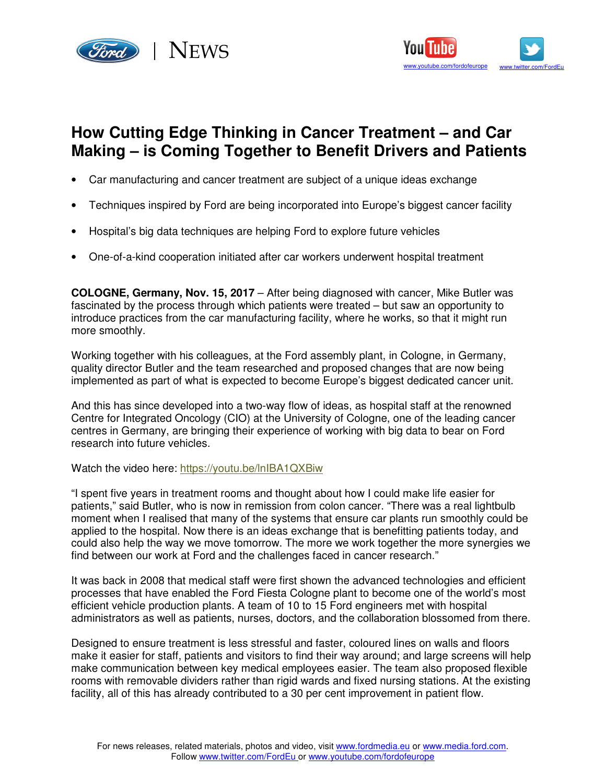



## **How Cutting Edge Thinking in Cancer Treatment – and Car Making – is Coming Together to Benefit Drivers and Patients**

- Car manufacturing and cancer treatment are subject of a unique ideas exchange
- Techniques inspired by Ford are being incorporated into Europe's biggest cancer facility
- Hospital's big data techniques are helping Ford to explore future vehicles
- One-of-a-kind cooperation initiated after car workers underwent hospital treatment

**COLOGNE, Germany, Nov. 15, 2017** – After being diagnosed with cancer, Mike Butler was fascinated by the process through which patients were treated – but saw an opportunity to introduce practices from the car manufacturing facility, where he works, so that it might run more smoothly.

Working together with his colleagues, at the Ford assembly plant, in Cologne, in Germany, quality director Butler and the team researched and proposed changes that are now being implemented as part of what is expected to become Europe's biggest dedicated cancer unit.

And this has since developed into a two-way flow of ideas, as hospital staff at the renowned Centre for Integrated Oncology (CIO) at the University of Cologne, one of the leading cancer centres in Germany, are bringing their experience of working with big data to bear on Ford research into future vehicles.

Watch the video here: https://youtu.be/lnIBA1QXBiw

"I spent five years in treatment rooms and thought about how I could make life easier for patients," said Butler, who is now in remission from colon cancer. "There was a real lightbulb moment when I realised that many of the systems that ensure car plants run smoothly could be applied to the hospital. Now there is an ideas exchange that is benefitting patients today, and could also help the way we move tomorrow. The more we work together the more synergies we find between our work at Ford and the challenges faced in cancer research."

It was back in 2008 that medical staff were first shown the advanced technologies and efficient processes that have enabled the Ford Fiesta Cologne plant to become one of the world's most efficient vehicle production plants. A team of 10 to 15 Ford engineers met with hospital administrators as well as patients, nurses, doctors, and the collaboration blossomed from there.

Designed to ensure treatment is less stressful and faster, coloured lines on walls and floors make it easier for staff, patients and visitors to find their way around; and large screens will help make communication between key medical employees easier. The team also proposed flexible rooms with removable dividers rather than rigid wards and fixed nursing stations. At the existing facility, all of this has already contributed to a 30 per cent improvement in patient flow.